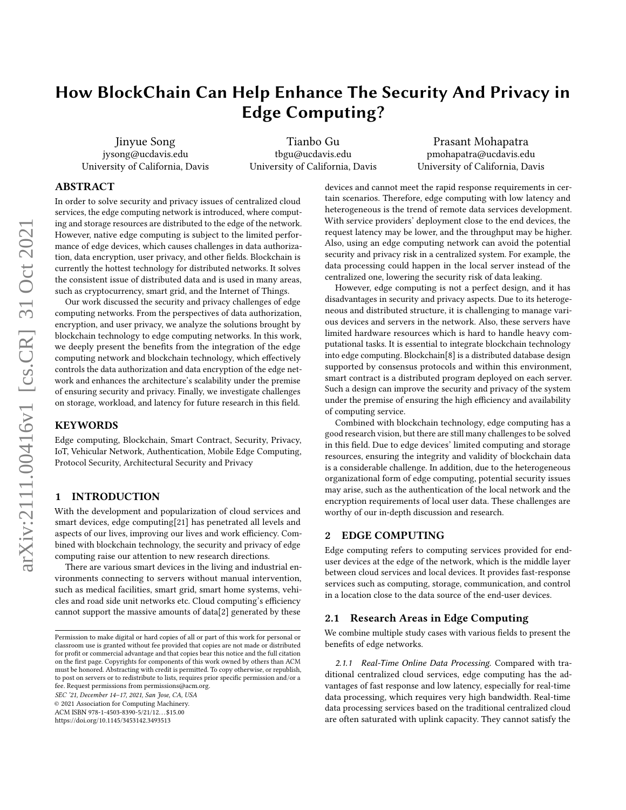# How BlockChain Can Help Enhance The Security And Privacy in Edge Computing?

Jinyue Song jysong@ucdavis.edu University of California, Davis

Tianbo Gu tbgu@ucdavis.edu University of California, Davis

Prasant Mohapatra pmohapatra@ucdavis.edu University of California, Davis

## ABSTRACT

In order to solve security and privacy issues of centralized cloud services, the edge computing network is introduced, where computing and storage resources are distributed to the edge of the network. However, native edge computing is subject to the limited performance of edge devices, which causes challenges in data authorization, data encryption, user privacy, and other fields. Blockchain is currently the hottest technology for distributed networks. It solves the consistent issue of distributed data and is used in many areas, such as cryptocurrency, smart grid, and the Internet of Things.

Our work discussed the security and privacy challenges of edge computing networks. From the perspectives of data authorization, encryption, and user privacy, we analyze the solutions brought by blockchain technology to edge computing networks. In this work, we deeply present the benefits from the integration of the edge computing network and blockchain technology, which effectively controls the data authorization and data encryption of the edge network and enhances the architecture's scalability under the premise of ensuring security and privacy. Finally, we investigate challenges on storage, workload, and latency for future research in this field.

#### KEYWORDS

Edge computing, Blockchain, Smart Contract, Security, Privacy, IoT, Vehicular Network, Authentication, Mobile Edge Computing, Protocol Security, Architectural Security and Privacy

#### 1 INTRODUCTION

With the development and popularization of cloud services and smart devices, edge computing[\[21\]](#page-5-0) has penetrated all levels and aspects of our lives, improving our lives and work efficiency. Combined with blockchain technology, the security and privacy of edge computing raise our attention to new research directions.

There are various smart devices in the living and industrial environments connecting to servers without manual intervention, such as medical facilities, smart grid, smart home systems, vehicles and road side unit networks etc. Cloud computing's efficiency cannot support the massive amounts of data[\[2\]](#page-5-1) generated by these

SEC '21, December 14–17, 2021, San Jose, CA, USA

© 2021 Association for Computing Machinery.

ACM ISBN 978-1-4503-8390-5/21/12. . . \$15.00

<https://doi.org/10.1145/3453142.3493513>

devices and cannot meet the rapid response requirements in certain scenarios. Therefore, edge computing with low latency and heterogeneous is the trend of remote data services development. With service providers' deployment close to the end devices, the request latency may be lower, and the throughput may be higher. Also, using an edge computing network can avoid the potential security and privacy risk in a centralized system. For example, the data processing could happen in the local server instead of the centralized one, lowering the security risk of data leaking.

However, edge computing is not a perfect design, and it has disadvantages in security and privacy aspects. Due to its heterogeneous and distributed structure, it is challenging to manage various devices and servers in the network. Also, these servers have limited hardware resources which is hard to handle heavy computational tasks. It is essential to integrate blockchain technology into edge computing. Blockchain[\[8\]](#page-5-2) is a distributed database design supported by consensus protocols and within this environment, smart contract is a distributed program deployed on each server. Such a design can improve the security and privacy of the system under the premise of ensuring the high efficiency and availability of computing service.

Combined with blockchain technology, edge computing has a good research vision, but there are still many challenges to be solved in this field. Due to edge devices' limited computing and storage resources, ensuring the integrity and validity of blockchain data is a considerable challenge. In addition, due to the heterogeneous organizational form of edge computing, potential security issues may arise, such as the authentication of the local network and the encryption requirements of local user data. These challenges are worthy of our in-depth discussion and research.

### 2 EDGE COMPUTING

Edge computing refers to computing services provided for enduser devices at the edge of the network, which is the middle layer between cloud services and local devices. It provides fast-response services such as computing, storage, communication, and control in a location close to the data source of the end-user devices.

## 2.1 Research Areas in Edge Computing

We combine multiple study cases with various fields to present the benefits of edge networks.

2.1.1 Real-Time Online Data Processing. Compared with traditional centralized cloud services, edge computing has the advantages of fast response and low latency, especially for real-time data processing, which requires very high bandwidth. Real-time data processing services based on the traditional centralized cloud are often saturated with uplink capacity. They cannot satisfy the

Permission to make digital or hard copies of all or part of this work for personal or classroom use is granted without fee provided that copies are not made or distributed for profit or commercial advantage and that copies bear this notice and the full citation on the first page. Copyrights for components of this work owned by others than ACM must be honored. Abstracting with credit is permitted. To copy otherwise, or republish, to post on servers or to redistribute to lists, requires prior specific permission and/or a fee. Request permissions from permissions@acm.org.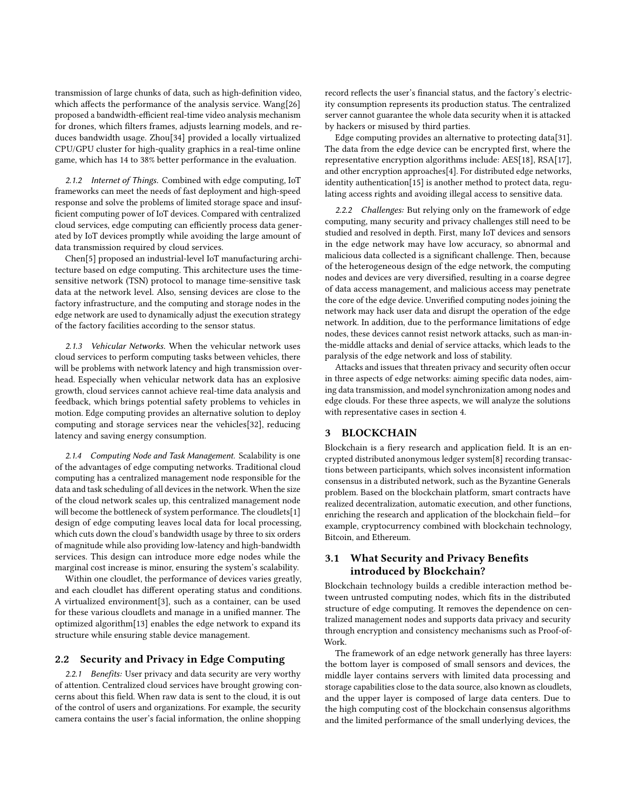transmission of large chunks of data, such as high-definition video, which affects the performance of the analysis service. Wang[\[26\]](#page-5-3) proposed a bandwidth-efficient real-time video analysis mechanism for drones, which filters frames, adjusts learning models, and reduces bandwidth usage. Zhou[\[34\]](#page-5-4) provided a locally virtualized CPU/GPU cluster for high-quality graphics in a real-time online game, which has 14 to 38% better performance in the evaluation.

2.1.2 Internet of Things. Combined with edge computing, IoT frameworks can meet the needs of fast deployment and high-speed response and solve the problems of limited storage space and insufficient computing power of IoT devices. Compared with centralized cloud services, edge computing can efficiently process data generated by IoT devices promptly while avoiding the large amount of data transmission required by cloud services.

Chen[\[5\]](#page-5-5) proposed an industrial-level IoT manufacturing architecture based on edge computing. This architecture uses the timesensitive network (TSN) protocol to manage time-sensitive task data at the network level. Also, sensing devices are close to the factory infrastructure, and the computing and storage nodes in the edge network are used to dynamically adjust the execution strategy of the factory facilities according to the sensor status.

2.1.3 Vehicular Networks. When the vehicular network uses cloud services to perform computing tasks between vehicles, there will be problems with network latency and high transmission overhead. Especially when vehicular network data has an explosive growth, cloud services cannot achieve real-time data analysis and feedback, which brings potential safety problems to vehicles in motion. Edge computing provides an alternative solution to deploy computing and storage services near the vehicles[\[32\]](#page-5-6), reducing latency and saving energy consumption.

2.1.4 Computing Node and Task Management. Scalability is one of the advantages of edge computing networks. Traditional cloud computing has a centralized management node responsible for the data and task scheduling of all devices in the network. When the size of the cloud network scales up, this centralized management node will become the bottleneck of system performance. The cloudlets[\[1\]](#page-5-7) design of edge computing leaves local data for local processing, which cuts down the cloud's bandwidth usage by three to six orders of magnitude while also providing low-latency and high-bandwidth services. This design can introduce more edge nodes while the marginal cost increase is minor, ensuring the system's scalability.

Within one cloudlet, the performance of devices varies greatly, and each cloudlet has different operating status and conditions. A virtualized environment[\[3\]](#page-5-8), such as a container, can be used for these various cloudlets and manage in a unified manner. The optimized algorithm[\[13\]](#page-5-9) enables the edge network to expand its structure while ensuring stable device management.

#### <span id="page-1-0"></span>2.2 Security and Privacy in Edge Computing

2.2.1 Benefits: User privacy and data security are very worthy of attention. Centralized cloud services have brought growing concerns about this field. When raw data is sent to the cloud, it is out of the control of users and organizations. For example, the security camera contains the user's facial information, the online shopping

record reflects the user's financial status, and the factory's electricity consumption represents its production status. The centralized server cannot guarantee the whole data security when it is attacked by hackers or misused by third parties.

Edge computing provides an alternative to protecting data[\[31\]](#page-5-10). The data from the edge device can be encrypted first, where the representative encryption algorithms include: AES[\[18\]](#page-5-11), RSA[\[17\]](#page-5-12), and other encryption approaches[\[4\]](#page-5-13). For distributed edge networks, identity authentication[\[15\]](#page-5-14) is another method to protect data, regulating access rights and avoiding illegal access to sensitive data.

2.2.2 Challenges: But relying only on the framework of edge computing, many security and privacy challenges still need to be studied and resolved in depth. First, many IoT devices and sensors in the edge network may have low accuracy, so abnormal and malicious data collected is a significant challenge. Then, because of the heterogeneous design of the edge network, the computing nodes and devices are very diversified, resulting in a coarse degree of data access management, and malicious access may penetrate the core of the edge device. Unverified computing nodes joining the network may hack user data and disrupt the operation of the edge network. In addition, due to the performance limitations of edge nodes, these devices cannot resist network attacks, such as man-inthe-middle attacks and denial of service attacks, which leads to the paralysis of the edge network and loss of stability.

Attacks and issues that threaten privacy and security often occur in three aspects of edge networks: aiming specific data nodes, aiming data transmission, and model synchronization among nodes and edge clouds. For these three aspects, we will analyze the solutions with representative cases in section [4.](#page-2-0)

## 3 BLOCKCHAIN

Blockchain is a fiery research and application field. It is an encrypted distributed anonymous ledger system[\[8\]](#page-5-2) recording transactions between participants, which solves inconsistent information consensus in a distributed network, such as the Byzantine Generals problem. Based on the blockchain platform, smart contracts have realized decentralization, automatic execution, and other functions, enriching the research and application of the blockchain field—for example, cryptocurrency combined with blockchain technology, Bitcoin, and Ethereum.

## 3.1 What Security and Privacy Benefits introduced by Blockchain?

Blockchain technology builds a credible interaction method between untrusted computing nodes, which fits in the distributed structure of edge computing. It removes the dependence on centralized management nodes and supports data privacy and security through encryption and consistency mechanisms such as Proof-of-Work.

The framework of an edge network generally has three layers: the bottom layer is composed of small sensors and devices, the middle layer contains servers with limited data processing and storage capabilities close to the data source, also known as cloudlets, and the upper layer is composed of large data centers. Due to the high computing cost of the blockchain consensus algorithms and the limited performance of the small underlying devices, the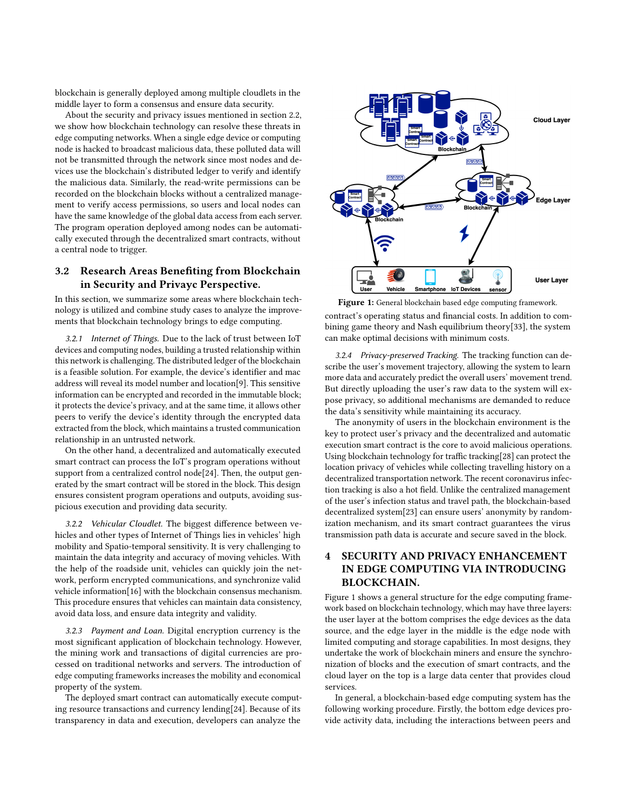blockchain is generally deployed among multiple cloudlets in the middle layer to form a consensus and ensure data security.

About the security and privacy issues mentioned in section [2.2,](#page-1-0) we show how blockchain technology can resolve these threats in edge computing networks. When a single edge device or computing node is hacked to broadcast malicious data, these polluted data will not be transmitted through the network since most nodes and devices use the blockchain's distributed ledger to verify and identify the malicious data. Similarly, the read-write permissions can be recorded on the blockchain blocks without a centralized management to verify access permissions, so users and local nodes can have the same knowledge of the global data access from each server. The program operation deployed among nodes can be automatically executed through the decentralized smart contracts, without a central node to trigger.

## 3.2 Research Areas Benefiting from Blockchain in Security and Privayc Perspective.

In this section, we summarize some areas where blockchain technology is utilized and combine study cases to analyze the improvements that blockchain technology brings to edge computing.

3.2.1 Internet of Things. Due to the lack of trust between IoT devices and computing nodes, building a trusted relationship within this network is challenging. The distributed ledger of the blockchain is a feasible solution. For example, the device's identifier and mac address will reveal its model number and location[\[9\]](#page-5-15). This sensitive information can be encrypted and recorded in the immutable block; it protects the device's privacy, and at the same time, it allows other peers to verify the device's identity through the encrypted data extracted from the block, which maintains a trusted communication relationship in an untrusted network.

On the other hand, a decentralized and automatically executed smart contract can process the IoT's program operations without support from a centralized control node[\[24\]](#page-5-16). Then, the output generated by the smart contract will be stored in the block. This design ensures consistent program operations and outputs, avoiding suspicious execution and providing data security.

3.2.2 Vehicular Cloudlet. The biggest difference between vehicles and other types of Internet of Things lies in vehicles' high mobility and Spatio-temporal sensitivity. It is very challenging to maintain the data integrity and accuracy of moving vehicles. With the help of the roadside unit, vehicles can quickly join the network, perform encrypted communications, and synchronize valid vehicle information[\[16\]](#page-5-17) with the blockchain consensus mechanism. This procedure ensures that vehicles can maintain data consistency, avoid data loss, and ensure data integrity and validity.

3.2.3 Payment and Loan. Digital encryption currency is the most significant application of blockchain technology. However, the mining work and transactions of digital currencies are processed on traditional networks and servers. The introduction of edge computing frameworks increases the mobility and economical property of the system.

The deployed smart contract can automatically execute computing resource transactions and currency lending[\[24\]](#page-5-16). Because of its transparency in data and execution, developers can analyze the

<span id="page-2-1"></span>

Figure 1: General blockchain based edge computing framework.

contract's operating status and financial costs. In addition to combining game theory and Nash equilibrium theory[\[33\]](#page-5-18), the system can make optimal decisions with minimum costs.

3.2.4 Privacy-preserved Tracking. The tracking function can describe the user's movement trajectory, allowing the system to learn more data and accurately predict the overall users' movement trend. But directly uploading the user's raw data to the system will expose privacy, so additional mechanisms are demanded to reduce the data's sensitivity while maintaining its accuracy.

The anonymity of users in the blockchain environment is the key to protect user's privacy and the decentralized and automatic execution smart contract is the core to avoid malicious operations. Using blockchain technology for traffic tracking[\[28\]](#page-5-19) can protect the location privacy of vehicles while collecting travelling history on a decentralized transportation network. The recent coronavirus infection tracking is also a hot field. Unlike the centralized management of the user's infection status and travel path, the blockchain-based decentralized system[\[23\]](#page-5-20) can ensure users' anonymity by randomization mechanism, and its smart contract guarantees the virus transmission path data is accurate and secure saved in the block.

## <span id="page-2-0"></span>4 SECURITY AND PRIVACY ENHANCEMENT IN EDGE COMPUTING VIA INTRODUCING BLOCKCHAIN.

Figure [1](#page-2-1) shows a general structure for the edge computing framework based on blockchain technology, which may have three layers: the user layer at the bottom comprises the edge devices as the data source, and the edge layer in the middle is the edge node with limited computing and storage capabilities. In most designs, they undertake the work of blockchain miners and ensure the synchronization of blocks and the execution of smart contracts, and the cloud layer on the top is a large data center that provides cloud services.

In general, a blockchain-based edge computing system has the following working procedure. Firstly, the bottom edge devices provide activity data, including the interactions between peers and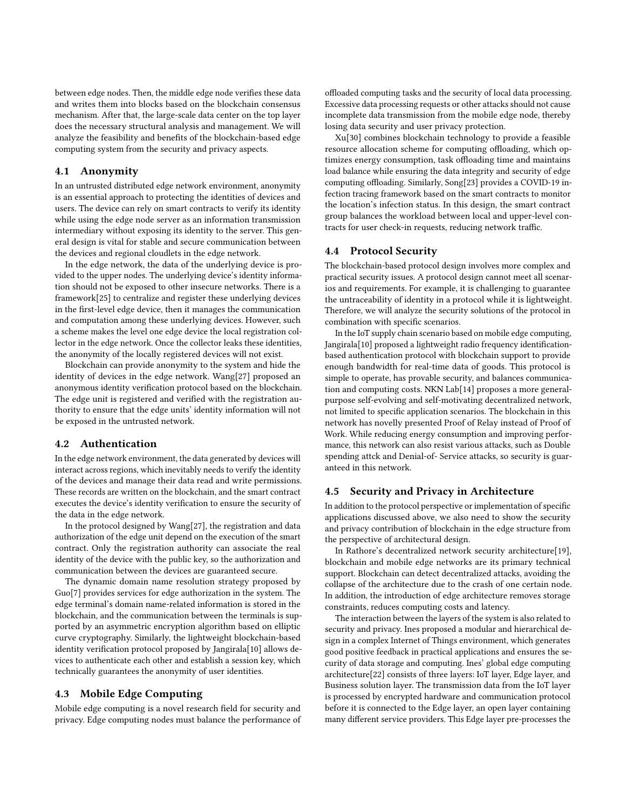between edge nodes. Then, the middle edge node verifies these data and writes them into blocks based on the blockchain consensus mechanism. After that, the large-scale data center on the top layer does the necessary structural analysis and management. We will analyze the feasibility and benefits of the blockchain-based edge computing system from the security and privacy aspects.

#### 4.1 Anonymity

In an untrusted distributed edge network environment, anonymity is an essential approach to protecting the identities of devices and users. The device can rely on smart contracts to verify its identity while using the edge node server as an information transmission intermediary without exposing its identity to the server. This general design is vital for stable and secure communication between the devices and regional cloudlets in the edge network.

In the edge network, the data of the underlying device is provided to the upper nodes. The underlying device's identity information should not be exposed to other insecure networks. There is a framework[\[25\]](#page-5-21) to centralize and register these underlying devices in the first-level edge device, then it manages the communication and computation among these underlying devices. However, such a scheme makes the level one edge device the local registration collector in the edge network. Once the collector leaks these identities, the anonymity of the locally registered devices will not exist.

Blockchain can provide anonymity to the system and hide the identity of devices in the edge network. Wang[\[27\]](#page-5-22) proposed an anonymous identity verification protocol based on the blockchain. The edge unit is registered and verified with the registration authority to ensure that the edge units' identity information will not be exposed in the untrusted network.

#### 4.2 Authentication

In the edge network environment, the data generated by devices will interact across regions, which inevitably needs to verify the identity of the devices and manage their data read and write permissions. These records are written on the blockchain, and the smart contract executes the device's identity verification to ensure the security of the data in the edge network.

In the protocol designed by Wang[\[27\]](#page-5-22), the registration and data authorization of the edge unit depend on the execution of the smart contract. Only the registration authority can associate the real identity of the device with the public key, so the authorization and communication between the devices are guaranteed secure.

The dynamic domain name resolution strategy proposed by Guo[\[7\]](#page-5-23) provides services for edge authorization in the system. The edge terminal's domain name-related information is stored in the blockchain, and the communication between the terminals is supported by an asymmetric encryption algorithm based on elliptic curve cryptography. Similarly, the lightweight blockchain-based identity verification protocol proposed by Jangirala[\[10\]](#page-5-24) allows devices to authenticate each other and establish a session key, which technically guarantees the anonymity of user identities.

#### 4.3 Mobile Edge Computing

Mobile edge computing is a novel research field for security and privacy. Edge computing nodes must balance the performance of offloaded computing tasks and the security of local data processing. Excessive data processing requests or other attacks should not cause incomplete data transmission from the mobile edge node, thereby losing data security and user privacy protection.

Xu[\[30\]](#page-5-25) combines blockchain technology to provide a feasible resource allocation scheme for computing offloading, which optimizes energy consumption, task offloading time and maintains load balance while ensuring the data integrity and security of edge computing offloading. Similarly, Song[\[23\]](#page-5-20) provides a COVID-19 infection tracing framework based on the smart contracts to monitor the location's infection status. In this design, the smart contract group balances the workload between local and upper-level contracts for user check-in requests, reducing network traffic.

#### 4.4 Protocol Security

The blockchain-based protocol design involves more complex and practical security issues. A protocol design cannot meet all scenarios and requirements. For example, it is challenging to guarantee the untraceability of identity in a protocol while it is lightweight. Therefore, we will analyze the security solutions of the protocol in combination with specific scenarios.

In the IoT supply chain scenario based on mobile edge computing, Jangirala[\[10\]](#page-5-24) proposed a lightweight radio frequency identificationbased authentication protocol with blockchain support to provide enough bandwidth for real-time data of goods. This protocol is simple to operate, has provable security, and balances communication and computing costs. NKN Lab[\[14\]](#page-5-26) proposes a more generalpurpose self-evolving and self-motivating decentralized network, not limited to specific application scenarios. The blockchain in this network has novelly presented Proof of Relay instead of Proof of Work. While reducing energy consumption and improving performance, this network can also resist various attacks, such as Double spending attck and Denial-of- Service attacks, so security is guaranteed in this network.

#### 4.5 Security and Privacy in Architecture

In addition to the protocol perspective or implementation of specific applications discussed above, we also need to show the security and privacy contribution of blockchain in the edge structure from the perspective of architectural design.

In Rathore's decentralized network security architecture[\[19\]](#page-5-27), blockchain and mobile edge networks are its primary technical support. Blockchain can detect decentralized attacks, avoiding the collapse of the architecture due to the crash of one certain node. In addition, the introduction of edge architecture removes storage constraints, reduces computing costs and latency.

The interaction between the layers of the system is also related to security and privacy. Ines proposed a modular and hierarchical design in a complex Internet of Things environment, which generates good positive feedback in practical applications and ensures the security of data storage and computing. Ines' global edge computing architecture[\[22\]](#page-5-28) consists of three layers: IoT layer, Edge layer, and Business solution layer. The transmission data from the IoT layer is processed by encrypted hardware and communication protocol before it is connected to the Edge layer, an open layer containing many different service providers. This Edge layer pre-processes the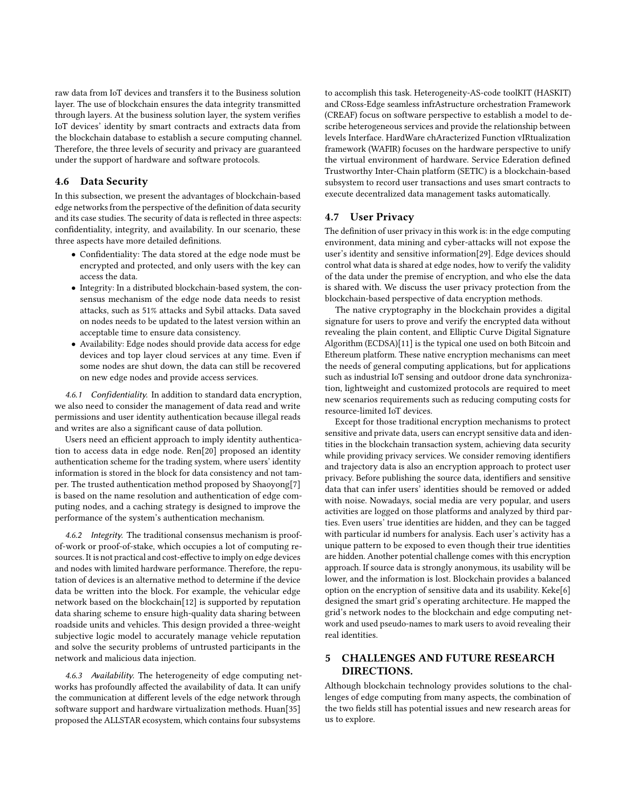raw data from IoT devices and transfers it to the Business solution layer. The use of blockchain ensures the data integrity transmitted through layers. At the business solution layer, the system verifies IoT devices' identity by smart contracts and extracts data from the blockchain database to establish a secure computing channel. Therefore, the three levels of security and privacy are guaranteed under the support of hardware and software protocols.

#### 4.6 Data Security

In this subsection, we present the advantages of blockchain-based edge networks from the perspective of the definition of data security and its case studies. The security of data is reflected in three aspects: confidentiality, integrity, and availability. In our scenario, these three aspects have more detailed definitions.

- Confidentiality: The data stored at the edge node must be encrypted and protected, and only users with the key can access the data.
- Integrity: In a distributed blockchain-based system, the consensus mechanism of the edge node data needs to resist attacks, such as 51% attacks and Sybil attacks. Data saved on nodes needs to be updated to the latest version within an acceptable time to ensure data consistency.
- Availability: Edge nodes should provide data access for edge devices and top layer cloud services at any time. Even if some nodes are shut down, the data can still be recovered on new edge nodes and provide access services.

4.6.1 Confidentiality. In addition to standard data encryption, we also need to consider the management of data read and write permissions and user identity authentication because illegal reads and writes are also a significant cause of data pollution.

Users need an efficient approach to imply identity authentication to access data in edge node. Ren[\[20\]](#page-5-29) proposed an identity authentication scheme for the trading system, where users' identity information is stored in the block for data consistency and not tamper. The trusted authentication method proposed by Shaoyong[\[7\]](#page-5-23) is based on the name resolution and authentication of edge computing nodes, and a caching strategy is designed to improve the performance of the system's authentication mechanism.

4.6.2 Integrity. The traditional consensus mechanism is proofof-work or proof-of-stake, which occupies a lot of computing resources. It is not practical and cost-effective to imply on edge devices and nodes with limited hardware performance. Therefore, the reputation of devices is an alternative method to determine if the device data be written into the block. For example, the vehicular edge network based on the blockchain[\[12\]](#page-5-30) is supported by reputation data sharing scheme to ensure high-quality data sharing between roadside units and vehicles. This design provided a three-weight subjective logic model to accurately manage vehicle reputation and solve the security problems of untrusted participants in the network and malicious data injection.

4.6.3 Availability. The heterogeneity of edge computing networks has profoundly affected the availability of data. It can unify the communication at different levels of the edge network through software support and hardware virtualization methods. Huan[\[35\]](#page-5-31) proposed the ALLSTAR ecosystem, which contains four subsystems

to accomplish this task. Heterogeneity-AS-code toolKIT (HASKIT) and CRoss-Edge seamless infrAstructure orchestration Framework (CREAF) focus on software perspective to establish a model to describe heterogeneous services and provide the relationship between levels Interface. HardWare chAracterized Function vIRtualization framework (WAFIR) focuses on the hardware perspective to unify the virtual environment of hardware. Service Ederation defined Trustworthy Inter-Chain platform (SETIC) is a blockchain-based subsystem to record user transactions and uses smart contracts to execute decentralized data management tasks automatically.

#### 4.7 User Privacy

The definition of user privacy in this work is: in the edge computing environment, data mining and cyber-attacks will not expose the user's identity and sensitive information[\[29\]](#page-5-32). Edge devices should control what data is shared at edge nodes, how to verify the validity of the data under the premise of encryption, and who else the data is shared with. We discuss the user privacy protection from the blockchain-based perspective of data encryption methods.

The native cryptography in the blockchain provides a digital signature for users to prove and verify the encrypted data without revealing the plain content, and Elliptic Curve Digital Signature Algorithm (ECDSA)[\[11\]](#page-5-33) is the typical one used on both Bitcoin and Ethereum platform. These native encryption mechanisms can meet the needs of general computing applications, but for applications such as industrial IoT sensing and outdoor drone data synchronization, lightweight and customized protocols are required to meet new scenarios requirements such as reducing computing costs for resource-limited IoT devices.

Except for those traditional encryption mechanisms to protect sensitive and private data, users can encrypt sensitive data and identities in the blockchain transaction system, achieving data security while providing privacy services. We consider removing identifiers and trajectory data is also an encryption approach to protect user privacy. Before publishing the source data, identifiers and sensitive data that can infer users' identities should be removed or added with noise. Nowadays, social media are very popular, and users activities are logged on those platforms and analyzed by third parties. Even users' true identities are hidden, and they can be tagged with particular id numbers for analysis. Each user's activity has a unique pattern to be exposed to even though their true identities are hidden. Another potential challenge comes with this encryption approach. If source data is strongly anonymous, its usability will be lower, and the information is lost. Blockchain provides a balanced option on the encryption of sensitive data and its usability. Keke[\[6\]](#page-5-34) designed the smart grid's operating architecture. He mapped the grid's network nodes to the blockchain and edge computing network and used pseudo-names to mark users to avoid revealing their real identities.

# 5 CHALLENGES AND FUTURE RESEARCH DIRECTIONS.

Although blockchain technology provides solutions to the challenges of edge computing from many aspects, the combination of the two fields still has potential issues and new research areas for us to explore.